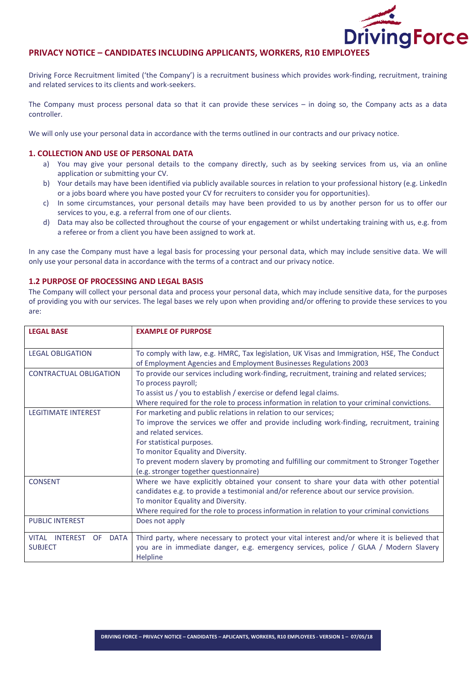

Driving Force Recruitment limited ('the Company') is a recruitment business which provides work-finding, recruitment, training and related services to its clients and work-seekers.

The Company must process personal data so that it can provide these services – in doing so, the Company acts as a data controller.

We will only use your personal data in accordance with the terms outlined in our contracts and our privacy notice.

# 1. COLLECTION AND USE OF PERSONAL DATA

- a) You may give your personal details to the company directly, such as by seeking services from us, via an online application or submitting your CV.
- b) Your details may have been identified via publicly available sources in relation to your professional history (e.g. LinkedIn or a jobs board where you have posted your CV for recruiters to consider you for opportunities).
- c) In some circumstances, your personal details may have been provided to us by another person for us to offer our services to you, e.g. a referral from one of our clients.
- d) Data may also be collected throughout the course of your engagement or whilst undertaking training with us, e.g. from a referee or from a client you have been assigned to work at.

In any case the Company must have a legal basis for processing your personal data, which may include sensitive data. We will only use your personal data in accordance with the terms of a contract and our privacy notice.

## 1.2 PURPOSE OF PROCESSING AND LEGAL BASIS

The Company will collect your personal data and process your personal data, which may include sensitive data, for the purposes of providing you with our services. The legal bases we rely upon when providing and/or offering to provide these services to you are:

| <b>LEGAL BASE</b>             | <b>EXAMPLE OF PURPOSE</b>                                                                        |
|-------------------------------|--------------------------------------------------------------------------------------------------|
| <b>LEGAL OBLIGATION</b>       | To comply with law, e.g. HMRC, Tax legislation, UK Visas and Immigration, HSE, The Conduct       |
|                               | of Employment Agencies and Employment Businesses Regulations 2003                                |
| <b>CONTRACTUAL OBLIGATION</b> | To provide our services including work-finding, recruitment, training and related services;      |
|                               | To process payroll;                                                                              |
|                               | To assist us / you to establish / exercise or defend legal claims.                               |
|                               | Where required for the role to process information in relation to your criminal convictions.     |
| <b>LEGITIMATE INTEREST</b>    | For marketing and public relations in relation to our services;                                  |
|                               | To improve the services we offer and provide including work-finding, recruitment, training       |
|                               | and related services.                                                                            |
|                               | For statistical purposes.                                                                        |
|                               | To monitor Equality and Diversity.                                                               |
|                               | To prevent modern slavery by promoting and fulfilling our commitment to Stronger Together        |
|                               | (e.g. stronger together questionnaire)                                                           |
| <b>CONSENT</b>                | Where we have explicitly obtained your consent to share your data with other potential           |
|                               | candidates e.g. to provide a testimonial and/or reference about our service provision.           |
|                               | To monitor Equality and Diversity.                                                               |
|                               | Where required for the role to process information in relation to your criminal convictions      |
| <b>PUBLIC INTEREST</b>        | Does not apply                                                                                   |
| VITAL INTEREST<br>OF DATA     | Third party, where necessary to protect your vital interest and/or where it is believed that     |
| <b>SUBJECT</b>                | you are in immediate danger, e.g. emergency services, police / GLAA / Modern Slavery<br>Helpline |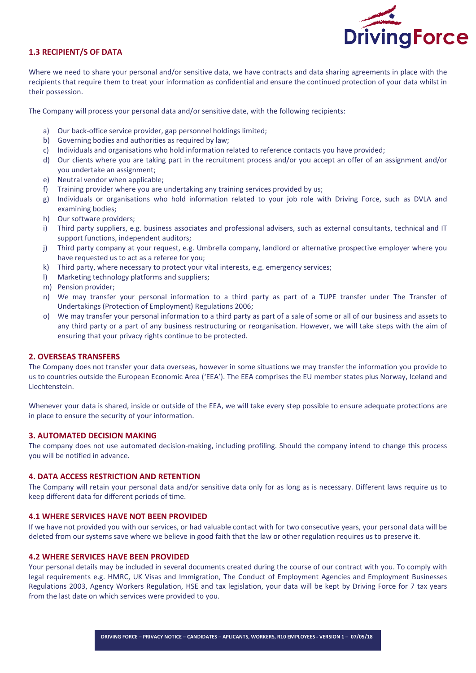

# 1.3 RECIPIENT/S OF DATA

Where we need to share your personal and/or sensitive data, we have contracts and data sharing agreements in place with the recipients that require them to treat your information as confidential and ensure the continued protection of your data whilst in their possession.

The Company will process your personal data and/or sensitive date, with the following recipients:

- a) Our back-office service provider, gap personnel holdings limited;
- b) Governing bodies and authorities as required by law;
- c) Individuals and organisations who hold information related to reference contacts you have provided;
- d) Our clients where you are taking part in the recruitment process and/or you accept an offer of an assignment and/or you undertake an assignment;
- e) Neutral vendor when applicable;
- f) Training provider where you are undertaking any training services provided by us;
- g) Individuals or organisations who hold information related to your job role with Driving Force, such as DVLA and examining bodies;
- h) Our software providers;
- i) Third party suppliers, e.g. business associates and professional advisers, such as external consultants, technical and IT support functions, independent auditors;
- j) Third party company at your request, e.g. Umbrella company, landlord or alternative prospective employer where you have requested us to act as a referee for you;
- k) Third party, where necessary to protect your vital interests, e.g. emergency services;
- l) Marketing technology platforms and suppliers;
- m) Pension provider;
- n) We may transfer your personal information to a third party as part of a TUPE transfer under The Transfer of Undertakings (Protection of Employment) Regulations 2006;
- o) We may transfer your personal information to a third party as part of a sale of some or all of our business and assets to any third party or a part of any business restructuring or reorganisation. However, we will take steps with the aim of ensuring that your privacy rights continue to be protected.

## 2. OVERSEAS TRANSFERS

The Company does not transfer your data overseas, however in some situations we may transfer the information you provide to us to countries outside the European Economic Area ('EEA'). The EEA comprises the EU member states plus Norway, Iceland and Liechtenstein.

Whenever your data is shared, inside or outside of the EEA, we will take every step possible to ensure adequate protections are in place to ensure the security of your information.

## 3. AUTOMATED DECISION MAKING

The company does not use automated decision-making, including profiling. Should the company intend to change this process you will be notified in advance.

# 4. DATA ACCESS RESTRICTION AND RETENTION

The Company will retain your personal data and/or sensitive data only for as long as is necessary. Different laws require us to keep different data for different periods of time.

#### 4.1 WHERE SERVICES HAVE NOT BEEN PROVIDED

If we have not provided you with our services, or had valuable contact with for two consecutive years, your personal data will be deleted from our systems save where we believe in good faith that the law or other regulation requires us to preserve it.

## 4.2 WHERE SERVICES HAVE BEEN PROVIDED

Your personal details may be included in several documents created during the course of our contract with you. To comply with legal requirements e.g. HMRC, UK Visas and Immigration, The Conduct of Employment Agencies and Employment Businesses Regulations 2003, Agency Workers Regulation, HSE and tax legislation, your data will be kept by Driving Force for 7 tax years from the last date on which services were provided to you.